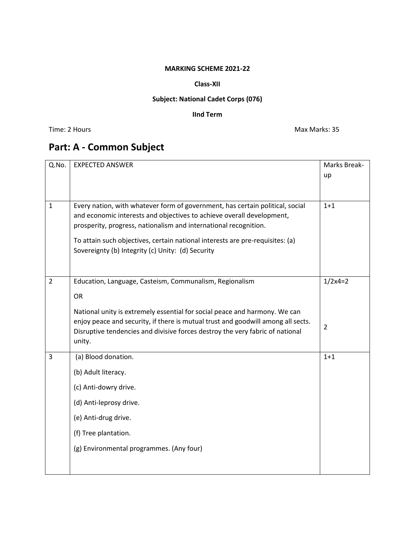### **MARKING SCHEME 2021-22**

### **Class-XII**

## **Subject: National Cadet Corps (076)**

## **IInd Term**

Time: 2 Hours Max Marks: 35

# **Part: A - Common Subject**

| Q.No.        | <b>EXPECTED ANSWER</b>                                                                                                             | Marks Break-   |
|--------------|------------------------------------------------------------------------------------------------------------------------------------|----------------|
|              |                                                                                                                                    | up             |
|              |                                                                                                                                    |                |
|              |                                                                                                                                    |                |
| $\mathbf{1}$ | Every nation, with whatever form of government, has certain political, social                                                      | $1 + 1$        |
|              | and economic interests and objectives to achieve overall development,                                                              |                |
|              | prosperity, progress, nationalism and international recognition.                                                                   |                |
|              |                                                                                                                                    |                |
|              | To attain such objectives, certain national interests are pre-requisites: (a)<br>Sovereignty (b) Integrity (c) Unity: (d) Security |                |
|              |                                                                                                                                    |                |
|              |                                                                                                                                    |                |
| 2            | Education, Language, Casteism, Communalism, Regionalism                                                                            | $1/2x4=2$      |
|              | <b>OR</b>                                                                                                                          |                |
|              |                                                                                                                                    |                |
|              | National unity is extremely essential for social peace and harmony. We can                                                         |                |
|              | enjoy peace and security, if there is mutual trust and goodwill among all sects.                                                   | $\overline{2}$ |
|              | Disruptive tendencies and divisive forces destroy the very fabric of national                                                      |                |
|              | unity.                                                                                                                             |                |
| 3            | (a) Blood donation.                                                                                                                | $1 + 1$        |
|              | (b) Adult literacy.                                                                                                                |                |
|              |                                                                                                                                    |                |
|              | (c) Anti-dowry drive.                                                                                                              |                |
|              | (d) Anti-leprosy drive.                                                                                                            |                |
|              | (e) Anti-drug drive.                                                                                                               |                |
|              | (f) Tree plantation.                                                                                                               |                |
|              | (g) Environmental programmes. (Any four)                                                                                           |                |
|              |                                                                                                                                    |                |
|              |                                                                                                                                    |                |
|              |                                                                                                                                    |                |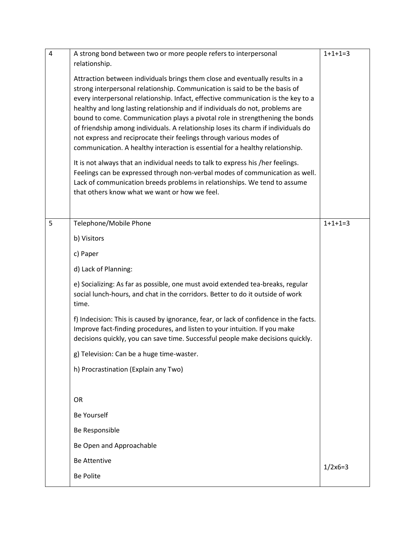| $\overline{4}$ | A strong bond between two or more people refers to interpersonal<br>relationship.                                                                                                                                                                                                                                                                                                                                                                                                                                                                                                                                                                                                                                                                                                                                                                                                                                                                               | $1+1+1=3$ |
|----------------|-----------------------------------------------------------------------------------------------------------------------------------------------------------------------------------------------------------------------------------------------------------------------------------------------------------------------------------------------------------------------------------------------------------------------------------------------------------------------------------------------------------------------------------------------------------------------------------------------------------------------------------------------------------------------------------------------------------------------------------------------------------------------------------------------------------------------------------------------------------------------------------------------------------------------------------------------------------------|-----------|
|                | Attraction between individuals brings them close and eventually results in a<br>strong interpersonal relationship. Communication is said to be the basis of<br>every interpersonal relationship. Infact, effective communication is the key to a<br>healthy and long lasting relationship and if individuals do not, problems are<br>bound to come. Communication plays a pivotal role in strengthening the bonds<br>of friendship among individuals. A relationship loses its charm if individuals do<br>not express and reciprocate their feelings through various modes of<br>communication. A healthy interaction is essential for a healthy relationship.<br>It is not always that an individual needs to talk to express his /her feelings.<br>Feelings can be expressed through non-verbal modes of communication as well.<br>Lack of communication breeds problems in relationships. We tend to assume<br>that others know what we want or how we feel. |           |
| 5              | Telephone/Mobile Phone                                                                                                                                                                                                                                                                                                                                                                                                                                                                                                                                                                                                                                                                                                                                                                                                                                                                                                                                          | $1+1+1=3$ |
|                | b) Visitors                                                                                                                                                                                                                                                                                                                                                                                                                                                                                                                                                                                                                                                                                                                                                                                                                                                                                                                                                     |           |
|                | c) Paper                                                                                                                                                                                                                                                                                                                                                                                                                                                                                                                                                                                                                                                                                                                                                                                                                                                                                                                                                        |           |
|                | d) Lack of Planning:                                                                                                                                                                                                                                                                                                                                                                                                                                                                                                                                                                                                                                                                                                                                                                                                                                                                                                                                            |           |
|                | e) Socializing: As far as possible, one must avoid extended tea-breaks, regular<br>social lunch-hours, and chat in the corridors. Better to do it outside of work<br>time.                                                                                                                                                                                                                                                                                                                                                                                                                                                                                                                                                                                                                                                                                                                                                                                      |           |
|                | f) Indecision: This is caused by ignorance, fear, or lack of confidence in the facts.<br>Improve fact-finding procedures, and listen to your intuition. If you make<br>decisions quickly, you can save time. Successful people make decisions quickly.                                                                                                                                                                                                                                                                                                                                                                                                                                                                                                                                                                                                                                                                                                          |           |
|                | g) Television: Can be a huge time-waster.                                                                                                                                                                                                                                                                                                                                                                                                                                                                                                                                                                                                                                                                                                                                                                                                                                                                                                                       |           |
|                | h) Procrastination (Explain any Two)                                                                                                                                                                                                                                                                                                                                                                                                                                                                                                                                                                                                                                                                                                                                                                                                                                                                                                                            |           |
|                |                                                                                                                                                                                                                                                                                                                                                                                                                                                                                                                                                                                                                                                                                                                                                                                                                                                                                                                                                                 |           |
|                | <b>OR</b>                                                                                                                                                                                                                                                                                                                                                                                                                                                                                                                                                                                                                                                                                                                                                                                                                                                                                                                                                       |           |
|                | <b>Be Yourself</b>                                                                                                                                                                                                                                                                                                                                                                                                                                                                                                                                                                                                                                                                                                                                                                                                                                                                                                                                              |           |
|                | Be Responsible                                                                                                                                                                                                                                                                                                                                                                                                                                                                                                                                                                                                                                                                                                                                                                                                                                                                                                                                                  |           |
|                | Be Open and Approachable                                                                                                                                                                                                                                                                                                                                                                                                                                                                                                                                                                                                                                                                                                                                                                                                                                                                                                                                        |           |
|                | <b>Be Attentive</b>                                                                                                                                                                                                                                                                                                                                                                                                                                                                                                                                                                                                                                                                                                                                                                                                                                                                                                                                             | $1/2x6=3$ |
|                | <b>Be Polite</b>                                                                                                                                                                                                                                                                                                                                                                                                                                                                                                                                                                                                                                                                                                                                                                                                                                                                                                                                                |           |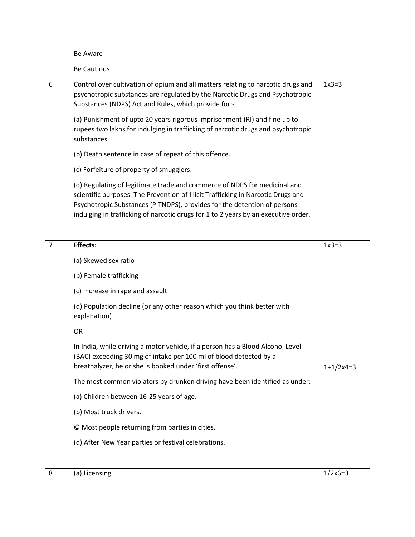|                | <b>Be Aware</b>                                                                                                                                                                                                                                                                                                                 |             |
|----------------|---------------------------------------------------------------------------------------------------------------------------------------------------------------------------------------------------------------------------------------------------------------------------------------------------------------------------------|-------------|
|                | <b>Be Cautious</b>                                                                                                                                                                                                                                                                                                              |             |
| 6              | Control over cultivation of opium and all matters relating to narcotic drugs and<br>psychotropic substances are regulated by the Narcotic Drugs and Psychotropic<br>Substances (NDPS) Act and Rules, which provide for:-                                                                                                        | $1x3=3$     |
|                | (a) Punishment of upto 20 years rigorous imprisonment (RI) and fine up to<br>rupees two lakhs for indulging in trafficking of narcotic drugs and psychotropic<br>substances.                                                                                                                                                    |             |
|                | (b) Death sentence in case of repeat of this offence.                                                                                                                                                                                                                                                                           |             |
|                | (c) Forfeiture of property of smugglers.                                                                                                                                                                                                                                                                                        |             |
|                | (d) Regulating of legitimate trade and commerce of NDPS for medicinal and<br>scientific purposes. The Prevention of Illicit Trafficking in Narcotic Drugs and<br>Psychotropic Substances (PITNDPS), provides for the detention of persons<br>indulging in trafficking of narcotic drugs for 1 to 2 years by an executive order. |             |
| $\overline{7}$ | <b>Effects:</b>                                                                                                                                                                                                                                                                                                                 | $1x3=3$     |
|                | (a) Skewed sex ratio                                                                                                                                                                                                                                                                                                            |             |
|                | (b) Female trafficking                                                                                                                                                                                                                                                                                                          |             |
|                | (c) Increase in rape and assault                                                                                                                                                                                                                                                                                                |             |
|                | (d) Population decline (or any other reason which you think better with<br>explanation)                                                                                                                                                                                                                                         |             |
|                | OR                                                                                                                                                                                                                                                                                                                              |             |
|                | In India, while driving a motor vehicle, if a person has a Blood Alcohol Level<br>(BAC) exceeding 30 mg of intake per 100 ml of blood detected by a<br>breathalyzer, he or she is booked under 'first offense'.                                                                                                                 | $1+1/2x4=3$ |
|                | The most common violators by drunken driving have been identified as under:                                                                                                                                                                                                                                                     |             |
|                | (a) Children between 16-25 years of age.                                                                                                                                                                                                                                                                                        |             |
|                | (b) Most truck drivers.                                                                                                                                                                                                                                                                                                         |             |
|                | © Most people returning from parties in cities.                                                                                                                                                                                                                                                                                 |             |
|                | (d) After New Year parties or festival celebrations.                                                                                                                                                                                                                                                                            |             |
|                |                                                                                                                                                                                                                                                                                                                                 |             |
| 8              | (a) Licensing                                                                                                                                                                                                                                                                                                                   | $1/2x6=3$   |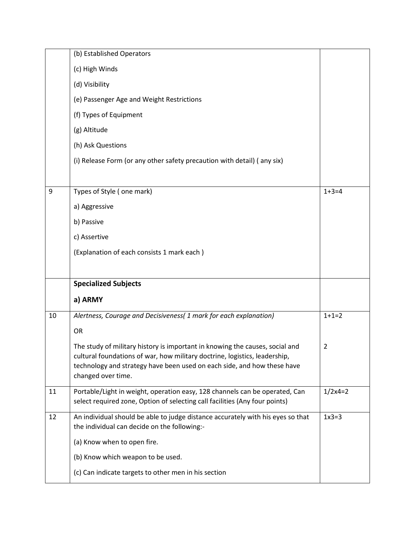|    | (b) Established Operators                                                                                                                                  |                |
|----|------------------------------------------------------------------------------------------------------------------------------------------------------------|----------------|
|    | (c) High Winds                                                                                                                                             |                |
|    | (d) Visibility                                                                                                                                             |                |
|    | (e) Passenger Age and Weight Restrictions                                                                                                                  |                |
|    | (f) Types of Equipment                                                                                                                                     |                |
|    | (g) Altitude                                                                                                                                               |                |
|    | (h) Ask Questions                                                                                                                                          |                |
|    | (i) Release Form (or any other safety precaution with detail) (any six)                                                                                    |                |
|    |                                                                                                                                                            |                |
| 9  | Types of Style (one mark)                                                                                                                                  | $1+3=4$        |
|    | a) Aggressive                                                                                                                                              |                |
|    | b) Passive                                                                                                                                                 |                |
|    | c) Assertive                                                                                                                                               |                |
|    | (Explanation of each consists 1 mark each)                                                                                                                 |                |
|    |                                                                                                                                                            |                |
|    |                                                                                                                                                            |                |
|    | <b>Specialized Subjects</b>                                                                                                                                |                |
|    | a) ARMY                                                                                                                                                    |                |
| 10 | Alertness, Courage and Decisiveness( 1 mark for each explanation)                                                                                          | $1+1=2$        |
|    | <b>OR</b>                                                                                                                                                  |                |
|    | The study of military history is important in knowing the causes, social and<br>cultural foundations of war, how military doctrine, logistics, leadership, | $\overline{2}$ |
|    | technology and strategy have been used on each side, and how these have<br>changed over time.                                                              |                |
| 11 | Portable/Light in weight, operation easy, 128 channels can be operated, Can<br>select required zone, Option of selecting call facilities (Any four points) | $1/2x4=2$      |
| 12 | An individual should be able to judge distance accurately with his eyes so that<br>the individual can decide on the following:-                            | $1x3=3$        |
|    | (a) Know when to open fire.                                                                                                                                |                |
|    | (b) Know which weapon to be used.                                                                                                                          |                |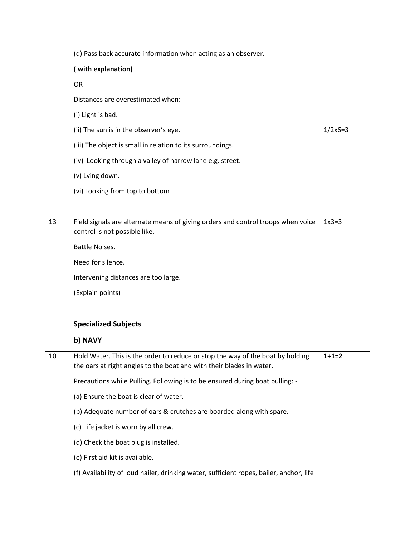|    | (d) Pass back accurate information when acting as an observer.                                                                                         |           |
|----|--------------------------------------------------------------------------------------------------------------------------------------------------------|-----------|
|    | (with explanation)                                                                                                                                     |           |
|    | <b>OR</b>                                                                                                                                              |           |
|    | Distances are overestimated when:-                                                                                                                     |           |
|    | (i) Light is bad.                                                                                                                                      |           |
|    | (ii) The sun is in the observer's eye.                                                                                                                 | $1/2x6=3$ |
|    | (iii) The object is small in relation to its surroundings.                                                                                             |           |
|    | (iv) Looking through a valley of narrow lane e.g. street.                                                                                              |           |
|    | (v) Lying down.                                                                                                                                        |           |
|    | (vi) Looking from top to bottom                                                                                                                        |           |
|    |                                                                                                                                                        |           |
| 13 | Field signals are alternate means of giving orders and control troops when voice<br>control is not possible like.                                      | $1x3=3$   |
|    | <b>Battle Noises.</b>                                                                                                                                  |           |
|    | Need for silence.                                                                                                                                      |           |
|    | Intervening distances are too large.                                                                                                                   |           |
|    | (Explain points)                                                                                                                                       |           |
|    |                                                                                                                                                        |           |
|    | <b>Specialized Subjects</b>                                                                                                                            |           |
|    | b) NAVY                                                                                                                                                |           |
| 10 | Hold Water. This is the order to reduce or stop the way of the boat by holding<br>the oars at right angles to the boat and with their blades in water. | $1+1=2$   |
|    | Precautions while Pulling. Following is to be ensured during boat pulling: -                                                                           |           |
|    | (a) Ensure the boat is clear of water.                                                                                                                 |           |
|    | (b) Adequate number of oars & crutches are boarded along with spare.                                                                                   |           |
|    | (c) Life jacket is worn by all crew.                                                                                                                   |           |
|    | (d) Check the boat plug is installed.                                                                                                                  |           |
|    | (e) First aid kit is available.                                                                                                                        |           |
|    | (f) Availability of loud hailer, drinking water, sufficient ropes, bailer, anchor, life                                                                |           |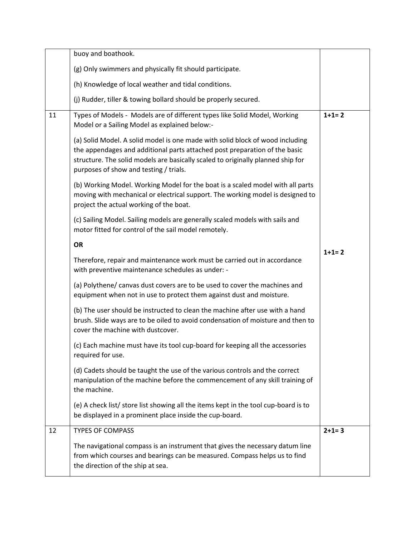|    | buoy and boathook.                                                                                                                                                                                                                                                                       |         |
|----|------------------------------------------------------------------------------------------------------------------------------------------------------------------------------------------------------------------------------------------------------------------------------------------|---------|
|    | (g) Only swimmers and physically fit should participate.                                                                                                                                                                                                                                 |         |
|    | (h) Knowledge of local weather and tidal conditions.                                                                                                                                                                                                                                     |         |
|    | (j) Rudder, tiller & towing bollard should be properly secured.                                                                                                                                                                                                                          |         |
| 11 | Types of Models - Models are of different types like Solid Model, Working<br>Model or a Sailing Model as explained below:-                                                                                                                                                               | $1+1=2$ |
|    | (a) Solid Model. A solid model is one made with solid block of wood including<br>the appendages and additional parts attached post preparation of the basic<br>structure. The solid models are basically scaled to originally planned ship for<br>purposes of show and testing / trials. |         |
|    | (b) Working Model. Working Model for the boat is a scaled model with all parts<br>moving with mechanical or electrical support. The working model is designed to<br>project the actual working of the boat.                                                                              |         |
|    | (c) Sailing Model. Sailing models are generally scaled models with sails and<br>motor fitted for control of the sail model remotely.                                                                                                                                                     |         |
|    | <b>OR</b>                                                                                                                                                                                                                                                                                | $1+1=2$ |
|    | Therefore, repair and maintenance work must be carried out in accordance<br>with preventive maintenance schedules as under: -                                                                                                                                                            |         |
|    | (a) Polythene/ canvas dust covers are to be used to cover the machines and<br>equipment when not in use to protect them against dust and moisture.                                                                                                                                       |         |
|    | (b) The user should be instructed to clean the machine after use with a hand<br>brush. Slide ways are to be oiled to avoid condensation of moisture and then to<br>cover the machine with dustcover.                                                                                     |         |
|    | (c) Each machine must have its tool cup-board for keeping all the accessories<br>required for use.                                                                                                                                                                                       |         |
|    | (d) Cadets should be taught the use of the various controls and the correct<br>manipulation of the machine before the commencement of any skill training of<br>the machine.                                                                                                              |         |
|    | (e) A check list/ store list showing all the items kept in the tool cup-board is to<br>be displayed in a prominent place inside the cup-board.                                                                                                                                           |         |
| 12 | <b>TYPES OF COMPASS</b>                                                                                                                                                                                                                                                                  | $2+1=3$ |
|    | The navigational compass is an instrument that gives the necessary datum line<br>from which courses and bearings can be measured. Compass helps us to find<br>the direction of the ship at sea.                                                                                          |         |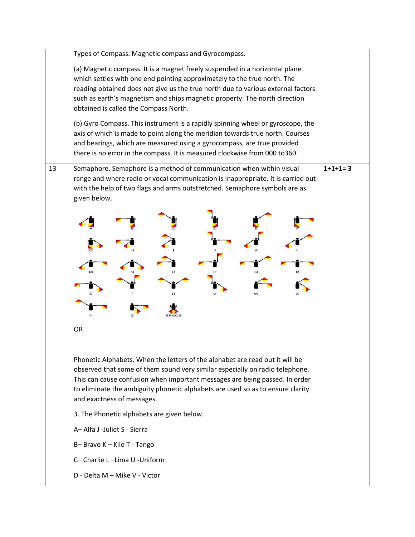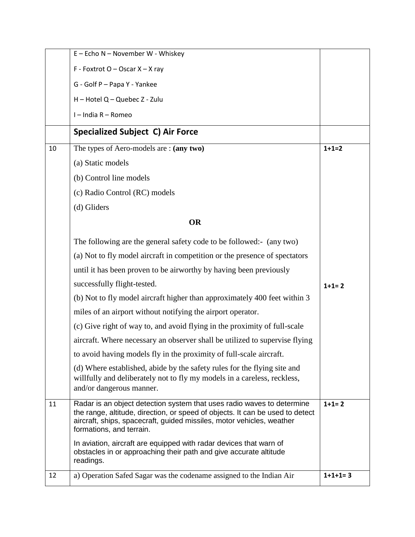|    | E - Echo N - November W - Whiskey                                                                                                                                                                                                                            |           |
|----|--------------------------------------------------------------------------------------------------------------------------------------------------------------------------------------------------------------------------------------------------------------|-----------|
|    | F - Foxtrot O - Oscar $X - X$ ray                                                                                                                                                                                                                            |           |
|    | G - Golf P - Papa Y - Yankee                                                                                                                                                                                                                                 |           |
|    | H - Hotel Q - Quebec Z - Zulu                                                                                                                                                                                                                                |           |
|    | I - India R - Romeo                                                                                                                                                                                                                                          |           |
|    | <b>Specialized Subject C) Air Force</b>                                                                                                                                                                                                                      |           |
| 10 | The types of Aero-models are: (any two)                                                                                                                                                                                                                      | $1+1=2$   |
|    | (a) Static models                                                                                                                                                                                                                                            |           |
|    | (b) Control line models                                                                                                                                                                                                                                      |           |
|    | (c) Radio Control (RC) models                                                                                                                                                                                                                                |           |
|    | (d) Gliders                                                                                                                                                                                                                                                  |           |
|    | <b>OR</b>                                                                                                                                                                                                                                                    |           |
|    | The following are the general safety code to be followed:- (any two)                                                                                                                                                                                         |           |
|    | (a) Not to fly model aircraft in competition or the presence of spectators                                                                                                                                                                                   |           |
|    | until it has been proven to be airworthy by having been previously                                                                                                                                                                                           |           |
|    | successfully flight-tested.                                                                                                                                                                                                                                  | $1+1=2$   |
|    | (b) Not to fly model aircraft higher than approximately 400 feet within 3                                                                                                                                                                                    |           |
|    | miles of an airport without notifying the airport operator.                                                                                                                                                                                                  |           |
|    | (c) Give right of way to, and avoid flying in the proximity of full-scale                                                                                                                                                                                    |           |
|    | aircraft. Where necessary an observer shall be utilized to supervise flying                                                                                                                                                                                  |           |
|    | to avoid having models fly in the proximity of full-scale aircraft.                                                                                                                                                                                          |           |
|    | (d) Where established, abide by the safety rules for the flying site and<br>willfully and deliberately not to fly my models in a careless, reckless,<br>and/or dangerous manner.                                                                             |           |
| 11 | Radar is an object detection system that uses radio waves to determine<br>the range, altitude, direction, or speed of objects. It can be used to detect<br>aircraft, ships, spacecraft, guided missiles, motor vehicles, weather<br>formations, and terrain. | $1+1=2$   |
|    | In aviation, aircraft are equipped with radar devices that warn of<br>obstacles in or approaching their path and give accurate altitude<br>readings.                                                                                                         |           |
| 12 | a) Operation Safed Sagar was the codename assigned to the Indian Air                                                                                                                                                                                         | $1+1+1=3$ |